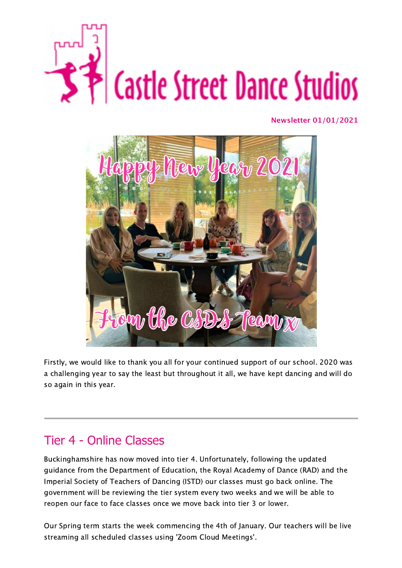

**Newsletter 01/01/2021**



Firstly, we would like to thank you all for your continued support of our school. 2020 was a challenging year to say the least but throughout it all, we have kept dancing and will do so again in this year.

# Tier 4 - Online Classes

Buckinghamshire has now moved into tier 4. Unfortunately, following the updated guidance from the Department of Education, the Royal Academy of Dance (RAD) and the Imperial Society of Teachers of Dancing (ISTD) our classes must go back online. The government will be reviewing the tier system every two weeks and we will be able to reopen our face to face classes once we move back into tier 3 or lower.

Our Spring term starts the week commencing the 4th of January. Our teachers will be live streaming all scheduled classes using 'Zoom Cloud Meetings'.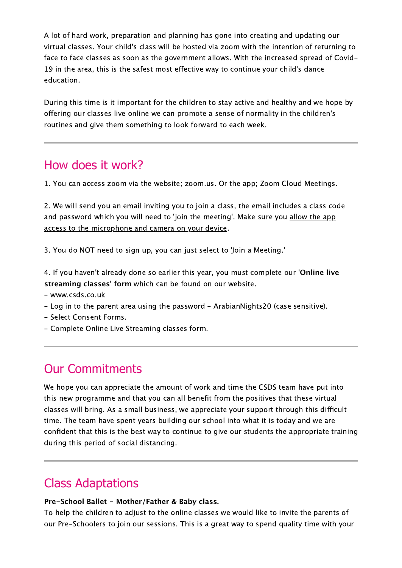A lot of hard work, preparation and planning has gone into creating and updating our virtual classes. Your child's class will be hosted via zoom with the intention of returning to face to face classes as soon as the government allows. With the increased spread of Covid-19 in the area, this is the safest most effective way to continue your child's dance education.

During this time is it important for the children to stay active and healthy and we hope by offering our classes live online we can promote a sense of normality in the children's routines and give them something to look forward to each week.

# How does it work?

1. You can access zoom via the website; zoom.us. Or the app; Zoom Cloud Meetings.

2. We will send you an email inviting you to join a class, the email includes a class code and password which you will need to 'join the meeting'. Make sure you allow the app access to the microphone and camera on your device.

3. You do NOT need to sign up, you can just select to 'Join a Meeting.'

4. If you haven't already done so earlier this year, you must complete our '**Online live streaming classes' form** which can be found on our website.

- www.csds.co.uk
- Log in to the parent area using the password ArabianNights20 (case sensitive).
- Select Consent Forms.
- Complete Online Live Streaming classes form.

### Our Commitments

We hope you can appreciate the amount of work and time the CSDS team have put into this new programme and that you can all benefit from the positives that these virtual classes will bring. As a small business, we appreciate your support through this difficult time. The team have spent years building our school into what it is today and we are confident that this is the best way to continue to give our students the appropriate training during this period of social distancing.

### Class Adaptations

#### **Pre-School Ballet - Mother/Father & Baby class.**

To help the children to adjust to the online classes we would like to invite the parents of our Pre-Schoolers to join our sessions. This is a great way to spend quality time with your